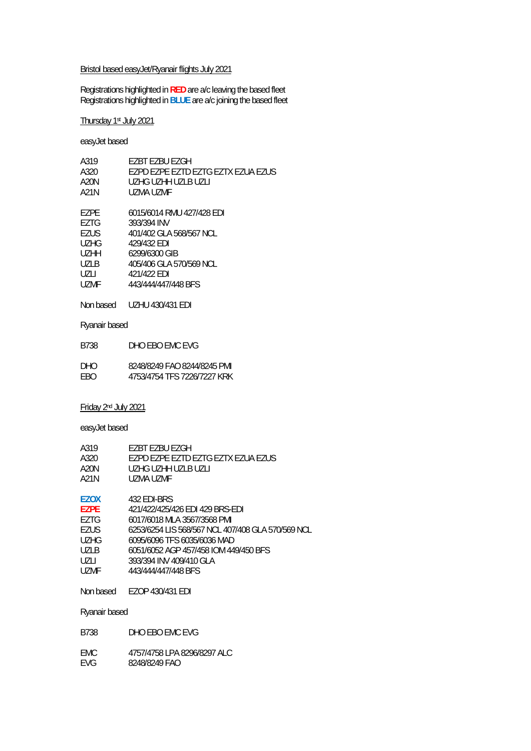#### Bristol based easyJet/Ryanair flights July 2021

Registrations highlighted in **RED** are a/c leaving the based fleet Registrations highlighted in **BLUE** are a/c joining the based fleet

Thursday 1st July 2021

easyJet based

| A319              | F7BT F7BU F7GH                     |
|-------------------|------------------------------------|
| A320              | EZPD EZPE EZTD EZTG EZTX EZUA EZUS |
| A20N              | UZHG UZHH UZI B UZI I              |
| A21N              | UZMA UZME                          |
|                   |                                    |
| F7PF              | 6015/6014 RMU 427/428 EDI          |
| EZTG              | 393/394 INV                        |
| EZUS              | 401/402 GLA 568/567 NCL            |
| UZHG              | 429/432 FDI                        |
| U <sub>7</sub> HH | 6299/6300 GIB                      |
| UZLB              | 405/406 GLA 570/569 NCL            |
| UZLI              | 421/422 FDI                        |
| UZMF              | 443/444/447/448 BFS                |
|                   |                                    |

Non based UZHU 430/431 EDI

Ryanair based

| B738 | DHO EBO EMC EVG             |
|------|-----------------------------|
| DHO  | 8248/8249 FAO 8244/8245 PMI |

EBO 4753/4754 TFS 7226/7227 KRK

Friday 2nd July 2021

easyJet based

| A319        | F7BT F7BU F7GH                     |  |
|-------------|------------------------------------|--|
| A320        | EZPD EZPE EZTD EZTG EZTX EZUA EZUS |  |
| A20N        | UZHG UZHH UZI B UZI I              |  |
| A21N        | UZMA UZME                          |  |
|             |                                    |  |
| <b>F7OX</b> | 432 FDI-BRS                        |  |

| <b>EZPE</b> | 421/422/425/426 EDI 429 BRS-EDI                   |
|-------------|---------------------------------------------------|
| EZTG        | 6017/6018 MLA 3567/3568 PMI                       |
| <b>EZUS</b> | 6253/6254 LIS 568/567 NCL 407/408 GLA 570/569 NCL |
| <b>UZHG</b> | 6095/6096 TFS 6035/6036 MAD                       |
| <b>UZLB</b> | 6051/6052 AGP 457/458 IOM 449/450 BFS             |
| UZLI        | 393/394 INV 409/410 GLA                           |
| UZMF        | 443/444/447/448 BFS                               |
|             |                                                   |

Non based EZOP 430/431 EDI

Ryanair based

B738 DHO EBO EMC EVG

EMC 4757/4758 LPA 8296/8297 ALC<br>EVG 8248/8249 FAO 8248/8249 FAO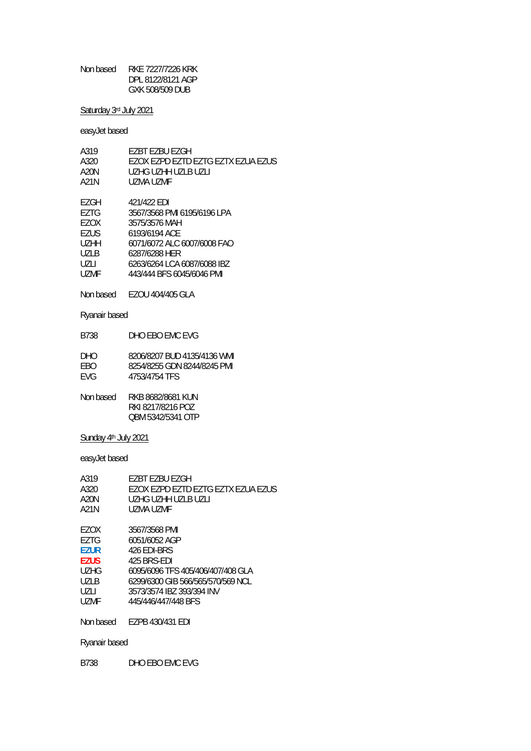Non based RKE 7227/7226 KRK DPL 8122/8121 AGP GXK 508/509 DUB

Saturday 3rd July 2021

easyJet based

| A319        | F7BT F7BU F7GH                      |
|-------------|-------------------------------------|
| A320        | FZOX FZPD FZTD FZTG FZTX FZUA FZUS. |
| A20N        | UZHG UZHH UZI B UZI I               |
| A21N        | UZMA UZME                           |
|             |                                     |
| F7GH        | 421/422 EDI                         |
| EZTG        | 3567/3568 PMI 6195/6196 LPA         |
| F7OX        | 3575/3576 MAH                       |
| <b>F7US</b> | 6193/6194 ACF                       |
| UZHH        | 6071/6072 ALC 6007/6008 FAO         |
| <b>UZLB</b> | 6287/6288 HER                       |
| U7LI        | 6263/6264 LCA 6087/6088 IBZ         |
| UZMF        | 443/444 BES 6045/6046 PMI           |
|             |                                     |

Non based EZOU 404/405 GLA

Ryanair based

B738 DHO EBO EMC EVG

| DHO. | 8206/8207 BUD 4135/4136 WMI |
|------|-----------------------------|
| FBO. | 8254/8255 GDN 8244/8245 PMI |
| FVG. | 4753/4754 TFS               |

Non based RKB 8682/8681 KUN RKI 8217/8216 POZ QBM 5342/5341 OTP

Sunday 4<sup>th</sup> July 2021

easyJet based

| A319        | F7BT F7BU F7GH                      |
|-------------|-------------------------------------|
| A320        | FZOX FZPD FZTD FZTG FZTX FZUA FZUS. |
| A20N        | UZHG UZHH UZI B UZI I               |
| A21N        | UZMA UZME                           |
|             |                                     |
| F7OX        | 3567/3568 PMI                       |
| F7TG        | 6051/6052 AGP                       |
| <b>F7UR</b> | 426 FDI-BRS                         |
| <b>F7US</b> | 425 BRS-FDI                         |
| UZHG        | 6095/6096 TFS 405/406/407/408 GLA   |
| U71 B       | 6299/6300 GIB 566/565/570/569 NCL   |
| U7LI        | 3573/3574 IBZ 393/394 INV           |
| UZMF        | 445/446/447/448 BFS                 |
|             |                                     |

Non based EZPB 430/431 EDI

Ryanair based

B738 DHO EBO EMC EVG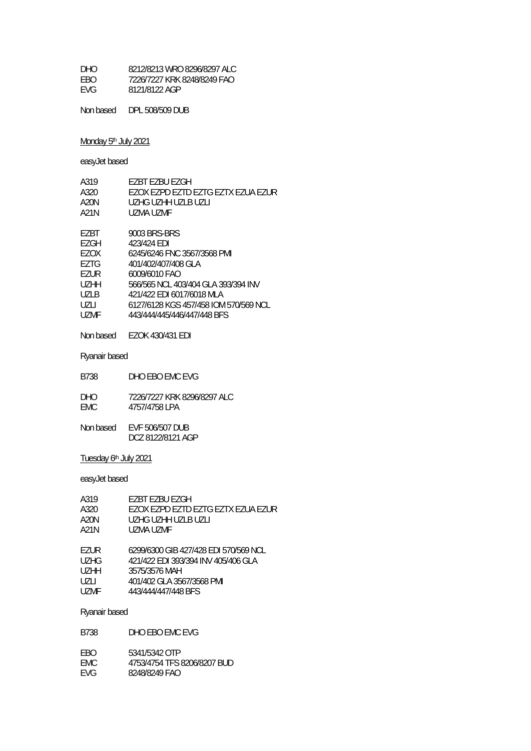| DHO.       | 8212/8213 WRO 8296/8297 ALC |
|------------|-----------------------------|
| FBO.       | 7226/7227 KRK 8248/8249 FAO |
| <b>FVG</b> | 8121/8122 AGP               |

Non based DPL 508/509 DUB

## Monday 5<sup>th</sup> July 2021

easyJet based

| A319 | F7BT F7BU F7GH                        |
|------|---------------------------------------|
| A320 | FZOX FZPD FZTD FZTG FZTX FZUA FZUR    |
| A20N | UZHG UZHH UZLB UZLI                   |
| A21N | UZMA UZME                             |
|      |                                       |
| EZBT | 9003 BRS-BRS                          |
| F7GH | 423/424 FDI                           |
| F7OX | 6245/6246 FNC 3567/3568 PMI           |
| F7TG | 401/402/407/408 GLA                   |
| F7UR | 6009/6010 FAO                         |
| UZHH | 566/565 NCL 403/404 GLA 393/394 INV   |
| UZLB | 421/422 EDI 6017/6018 MLA             |
| UZLI | 6127/6128 KGS 457/458 IOM 570/569 NCL |
| UZMF | 443/444/445/446/447/448 BFS           |
|      |                                       |

Non based EZOK 430/431 EDI

Ryanair based

DHO 7226/7227 KRK 8296/8297 ALC<br>EMC 4757/4758 LPA 4757/4758 LPA

| Non based | EVF 506/507 DUB   |
|-----------|-------------------|
|           | DCZ 8122/8121 AGP |

## Tuesday 6th July 2021

easyJet based

| A319<br>A320<br>A20N<br>A21N | EZBT EZBU EZGH<br>EZOX EZPD EZTD EZTG EZTX EZUA EZUR<br>UZHG UZHH UZLB UZLI<br>UZMA UZMF |
|------------------------------|------------------------------------------------------------------------------------------|
| <b>F7UR</b>                  | 6299/6300 GIB 427/428 EDI 570/569 NCL                                                    |
| <b>UZHG</b>                  | 421/422 EDI 393/394 INV 405/406 GLA                                                      |
| U <sub>7</sub> HH            | 3575/3576 MAH                                                                            |
| UZLI                         | 401/402 GLA 3567/3568 PMI                                                                |
| UZMF                         | 443/444/447/448 BFS                                                                      |

| B738               | DHO FBO FMC FVG                              |
|--------------------|----------------------------------------------|
| <b>FBO</b><br>FMC. | 5341/5342 OTP<br>4753/4754 TFS 8206/8207 BUD |
| <b>FVG</b>         | 8248/8249 FAO                                |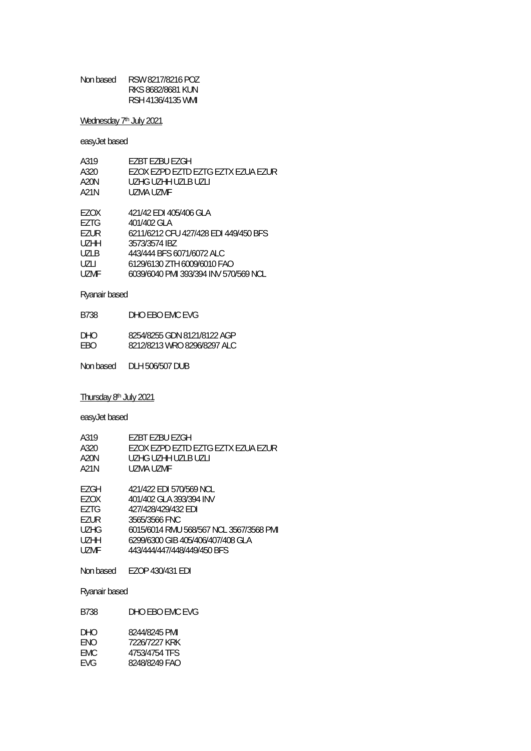| Non based | RSW 8217/8216 POZ |
|-----------|-------------------|
|           | RKS 8682/8681 KUN |
|           | RSH 4136/4135 WML |

Wednesday 7<sup>th</sup> July 2021

easyJet based

| A319        | EZBT EZBU EZGH                        |
|-------------|---------------------------------------|
| A320        | EZOX EZPD EZTD EZTG EZTX EZUA EZUR    |
| A20N        | UZHG UZHH UZLB UZLI                   |
| A21N        | UZMA UZME                             |
| EZOX        | 421/42 EDI 405/406 GLA                |
| F7TG        | 401/402 GLA                           |
| EZUR        | 6211/6212 CFU 427/428 EDI 449/450 BFS |
| <b>UZHH</b> | 3573/3574 IBZ                         |
| <b>UZLB</b> | 443/444 BFS 6071/6072 ALC             |
| UZLI        | 6129/6130 ZTH 6009/6010 FAO           |
| UZMF        | 6039/6040 PMI 393/394 INV 570/569 NCL |

## Ryanair based

| DHO. | 8254/8255 GDN 8121/8122 AGP |
|------|-----------------------------|
| FBO. | 8212/8213 WRO 8296/8297 ALC |

Non based DLH 506/507 DUB

Thursday 8th July 2021

easyJet based

| A319  | F7BT F7BU F7GH                     |
|-------|------------------------------------|
| A320  | EZOX EZPD EZTD EZTG EZTX EZUA EZUR |
| A20N  | UZHG UZHH UZLB UZLI                |
| A21N  | UZMA UZME                          |
|       |                                    |
| F7C11 | $1211122$ CDI EJOIE LO NIOI        |

| EZGH. | 421/422 EDI 570/569 NCL                 |
|-------|-----------------------------------------|
| EZOX  | 401/402 GLA 393/394 INV                 |
| EZTG  | 427/428/429/432 EDI                     |
| F7UR. | 3565/3566 FNC                           |
| UZHG. | 6015/6014 RMU 568/567 NCL 3567/3568 PMI |
| UZHH. | 6299/6300 GIB 405/406/407/408 GLA       |
| UZMF  | 443/444/447/448/449/450 BFS             |
|       |                                         |

Non based EZOP 430/431 EDI

Ryanair based

B738 DHO EBO EMC EVG

| DHO  | 8244/8245 PMI |
|------|---------------|
| FNO  | 7226/7227 KRK |
| FMC. | 4753/4754 TFS |
| FVG  | 8248/8249 FAO |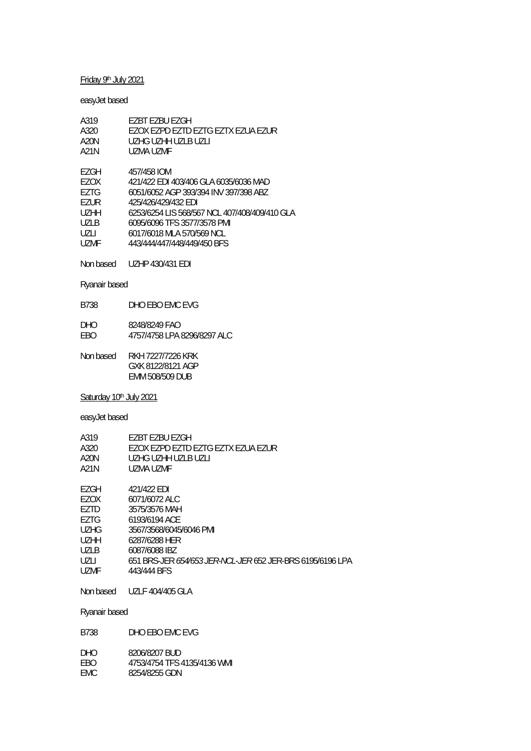## Friday 9th July 2021

## easyJet based

| A319        | EZBT EZBU EZGH                                |
|-------------|-----------------------------------------------|
| A320        | EZOX EZPD EZTD EZTG EZTX EZUA EZUR            |
| A20N        | UZHG UZHH UZI B UZI I                         |
| A21N        | UZMA UZME                                     |
|             |                                               |
| EZGH        | 457/458 IOM                                   |
| F7OX        | 421/422 EDI 403/406 GLA 6035/6036 MAD         |
| F7TG        | 6051/6052 AGP 393/394 INV 397/398 ABZ         |
| <b>FZUR</b> | 425/426/429/432 FDI                           |
| UZHH        | 6253/6254 LIS 568/567 NCL 407/408/409/410 GLA |
| UZI B       | 6095/6096 TFS 3577/3578 PMI                   |
| UZLI        | 6017/6018 MLA 570/569 NCL                     |
| UZMF        | 443/444/447/448/449/450 BFS                   |
|             |                                               |

Non based UZHP 430/431 EDI

## Ryanair based

- DHO 8248/8249 FAO<br>EBO 4757/4758 LPA 8 EBO 4757/4758 LPA 8296/8297 ALC
- Non based RKH 7227/7226 KRK GXK 8122/8121 AGP EMM 508/509 DUB

## Saturday 10<sup>th</sup> July 2021

## easyJet based

| A319 | F7BT F7BU F7GH                     |
|------|------------------------------------|
| A320 | EZOX EZPD EZTD EZTG EZTX EZUA EZUR |
| A20N | UZHG UZHH UZLB UZLI                |
| A21N | UZMA UZMF                          |
| F7GH | 421/422 FDI                        |
| F7OX | 6071/6072 ALC                      |

| LLUA        | $001110012$ ALG                                           |
|-------------|-----------------------------------------------------------|
| EZTD        | 3575/3576 MAH                                             |
| EZTG        | 6193/6194 ACE                                             |
| <b>UZHG</b> | 3567/3568/6045/6046 PMI                                   |
| <b>UZHH</b> | 6287/6288 HER                                             |
| UZLB        | 6087/6088 IBZ                                             |
| UZLI        | 651 BRS-JER 654/653 JER-NCL-JER 652 JER-BRS 6195/6196 LPA |
| UZMF        | 443/444 BFS                                               |
|             |                                                           |

Non based UZLF 404/405 GLA

| B738 | DHO EBO EMC EVG |
|------|-----------------|
|      |                 |

| DHO | 8206/8207 BUD               |
|-----|-----------------------------|
| EBO | 4753/4754 TFS 4135/4136 WML |
| EMC | 8254/8255 GDN               |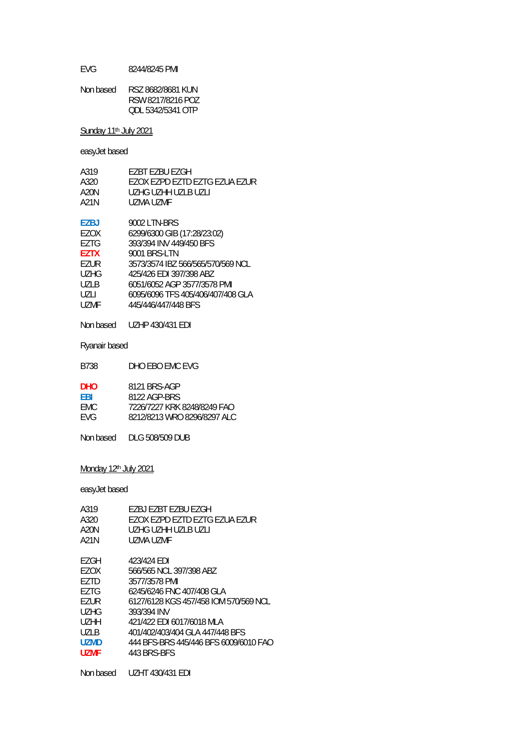EVG 8244/8245 PMI

| Non based | RSZ 8682/8681 KUN |
|-----------|-------------------|
|           | RSW 8217/8216 POZ |
|           | ODL 5342/5341 OTP |

Sunday 11<sup>th</sup> July 2021

easyJet based

| A319        | EZBT EZBU EZGH                    |
|-------------|-----------------------------------|
| A320        | EZOX EZPD EZTD EZTG EZUA EZUR     |
| A20N        | UZHG UZHH UZLB UZLL               |
| A21N        | UZMA UZME                         |
| F7BJ        | 9002 LTN-BRS                      |
| EZOX        | 6299/6300 GIB (17:28/23:02)       |
| F7TG        | 393/394 INV 449/450 BFS           |
| <b>F7TX</b> | 9001 BRS-LTN                      |
| F7UR        | 3573/3574 IBZ 566/565/570/569 NCL |
| UZHG        | 425/426 FDI 397/398 ABZ           |
| <b>UZLB</b> | 6051/6052 AGP 3577/3578 PMI       |
| UZLI        | 6095/6096 TFS 405/406/407/408 GLA |
| UZMF        | 445/446/447/448 BFS               |
|             |                                   |

Non based UZHP 430/431 EDI

B738 DHO EBO EMC EVG

Ryanair based

| <b>DHO</b> | 8121 BRS-AGP                |
|------------|-----------------------------|
| FRI        | 8122 AGP-BRS                |
| FMC.       | 7226/7227 KRK 8248/8249 FAO |
| <b>FVG</b> | 8212/8213 WRO 8296/8297 ALC |
|            |                             |

Non based DLG 508/509 DUB

Monday 12<sup>th</sup> July 2021

easyJet based

| A319        | EZBJ EZBT EZBU EZGH                   |
|-------------|---------------------------------------|
| A320        | EZOX EZPD EZTD EZTG EZUA EZUR         |
| A20N        | UZHG UZHH UZLB UZLI                   |
| A21N        | UZMA UZMF                             |
| EZGH        | 423/424 FDI                           |
| EZOX        | 566/565 NCL 397/398 ABZ               |
| F7TD        | 3577/3578 PMI                         |
| EZTG        | 6245/6246 FNC 407/408 GLA             |
| F7UR        | 6127/6128 KGS 457/458 IOM 570/569 NCL |
| <b>UZHG</b> | 393/394 INV                           |
| <b>UZHH</b> | 421/422 EDI 6017/6018 MLA             |
| U71 B       | 401/402/403/404 GLA 447/448 BFS       |
| <b>UZMD</b> | 444 BFS-BRS 445/446 BFS 6009/6010 FAO |
| UZMF        | 443 BRS-BES                           |
|             |                                       |

Non based UZHT 430/431 EDI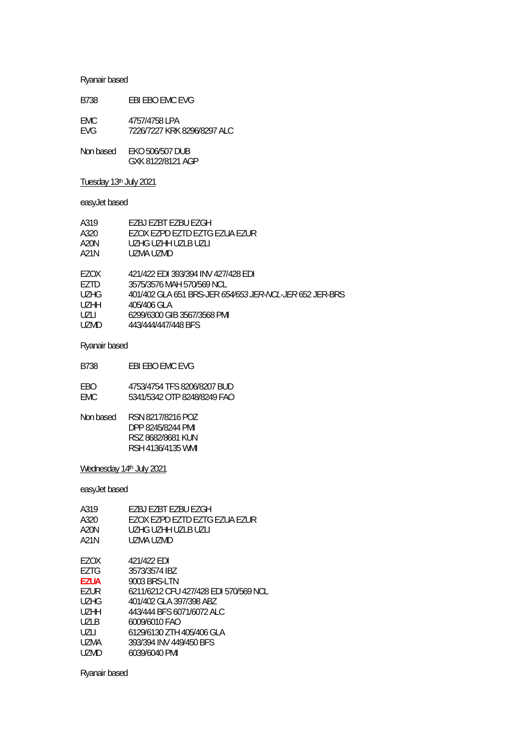| B738       | EBI EBO EMC EVG             |
|------------|-----------------------------|
| FMC.       | 4757/4758 LPA               |
| <b>FVG</b> | 7226/7227 KRK 8296/8297 ALC |

Non based EKO 506/507 DUB GXK 8122/8121 AGP

# Tuesday 13th July 2021

# easyJet based

| A319        | EZBJ EZBT EZBU EZGH                                            |
|-------------|----------------------------------------------------------------|
| A320        | EZOX EZPD EZTD EZTG EZUA EZUR                                  |
| A20N        | UZHG UZHH UZLB UZLI                                            |
| A21N        | UZMA UZMD                                                      |
| EZOX        | 421/422 EDI 393/394 INV 427/428 EDI                            |
| F7TD.       | 3575/3576 MAH 570/569 NCL                                      |
| <b>UZHG</b> | 401/402 GLA 651 BRS-JER <i>654/653 JER-NCL-JER</i> 652 JER-BRS |
| U7HH        | 405/406 GLA                                                    |
| UZLI        | 6299/6300 GIB 3567/3568 PMI                                    |
| <b>UZMD</b> | 443/444/447/448 BFS                                            |
|             |                                                                |

Ryanair based

| EBI EBO EMC EVG<br>B738 |  |
|-------------------------|--|
|-------------------------|--|

| FBO. | 4753/4754 TFS 8206/8207 BUD |
|------|-----------------------------|
| EMC  | 5341/5342 OTP 8248/8249 FAO |

| Non based | RSN 8217/8216 POZ |
|-----------|-------------------|
|           | DPP 8245/8244 PMI |
|           | RSZ 8682/8681 KUN |
|           | RSH 4136/4135 WMI |

Wednesday 14<sup>th</sup> July 2021

easyJet based

| A319        | F7BJ F7BT F7BU F7GH                   |
|-------------|---------------------------------------|
| A320        | EZOX EZPD EZTD EZTG EZUA EZUR         |
| A20N        | UZHG UZHH UZI B UZI I                 |
| A21N        | UZMA UZMD                             |
|             |                                       |
| F7OX        | 421/422 EDI                           |
| F7TG        | 3573/3574 IBZ                         |
| <b>EZUA</b> | 9003 BRS-LTN                          |
| EZUR        | 6211/6212 CEU 427/428 EDI 570/569 NCL |
| UZHG        | 401/402 GLA 397/398 ABZ               |
| U7HH        | 443/444 BFS 6071/6072 ALC             |
| U71 B       | 6009/6010 FAO                         |
| UZLI        | 6129/6130 ZTH 405/406 GLA             |
| UZMA        | 393/394 INV 449/450 BFS               |
| <b>UZMD</b> | 6039/6040 PMI                         |
|             |                                       |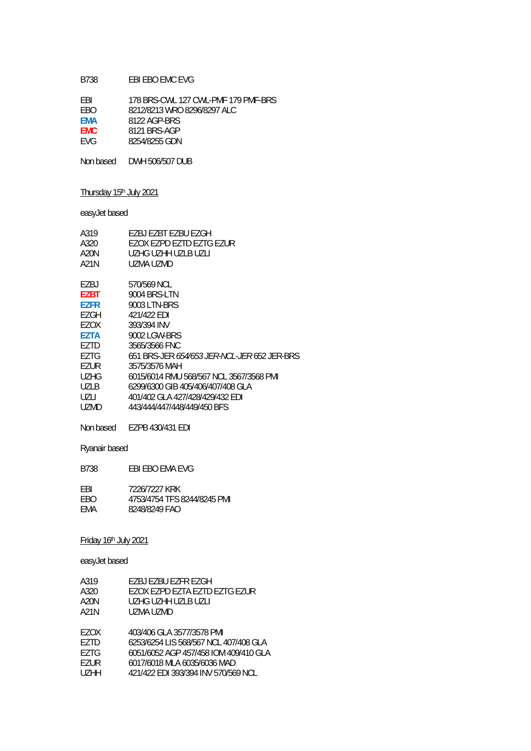## B738 EBI EBO EMC EVG

| FBI        | 178 BRS-CWL 127 CWL-PMF 179 PMF-BRS |
|------------|-------------------------------------|
| <b>FBO</b> | 8212/8213 WRO 8296/8297 ALC         |
| <b>FMA</b> | 8122 AGP-BRS                        |
| <b>FMC</b> | 8121 BRS-AGP                        |
| <b>FVG</b> | 8254/8255 GDN                       |

Non based DWH 506/507 DUB

# Thursday 15<sup>th</sup> July 2021

# easyJet based

| A319        | F7BJ F7BT F7BU F7GH                         |
|-------------|---------------------------------------------|
| A320        | FZOX FZPD FZTD FZTG FZUR                    |
| A20N        | UZHG UZHH UZI B UZI I                       |
| A21N        | UZMA UZMD                                   |
| EZBJ        | 570/569 NCL                                 |
| <b>EZBT</b> | 9004 BRS-LTN                                |
| <b>EZFR</b> | 9003 LTN-BRS                                |
| F7GH        | 421/422 EDI                                 |
| EZOX        | 393/394 INV                                 |
| <b>F7TA</b> | 9002 LGW-BRS                                |
| F7TD        | 3565/3566 FNC                               |
| F7TG        | 651 BRS-JFR 654/653 JFR-NCL-JFR 652 JFR-BRS |
| <b>EZUR</b> | 3575/3576 MAH                               |
| UZHG        | 6015/6014 RMU 568/567 NCL 3567/3568 PMI     |
| U71 B       | 6299/6300 GIB 405/406/407/408 GLA           |
| UZLI        | 401/402 GLA 427/428/429/432 EDI             |
| UZMD        | 443/444/447/448/449/450 BFS                 |

Non based EZPB 430/431 EDI

## Ryanair based

B738 EBI EBO EMA EVG

| FBI | 7226/7227 KRK               |
|-----|-----------------------------|
| EBO | 4753/4754 TFS 8244/8245 PMI |
| EMA | 8248/8249 FAO               |

## Friday 16th July 2021

| A319              | F7BJ F7BU F7FR F7GH                   |
|-------------------|---------------------------------------|
| A320              | EZOX EZPD EZTA EZTD EZTG EZUR         |
| A20N              | UZHG UZHH UZLB UZLI                   |
| A21N              | UZMA UZMD                             |
|                   |                                       |
| EZOX              | 403/406 GLA 3577/3578 PMI             |
| F7TD              | 6253/6254 LIS 568/567 NCL 407/408 GLA |
| EZTG              | 6051/6052 AGP 457/458 IOM 409/410 GLA |
| EZUR              | 6017/6018 MLA 6035/6036 MAD           |
| U <sub>7</sub> HH | 421/422 EDI 393/394 INV 570/569 NCL   |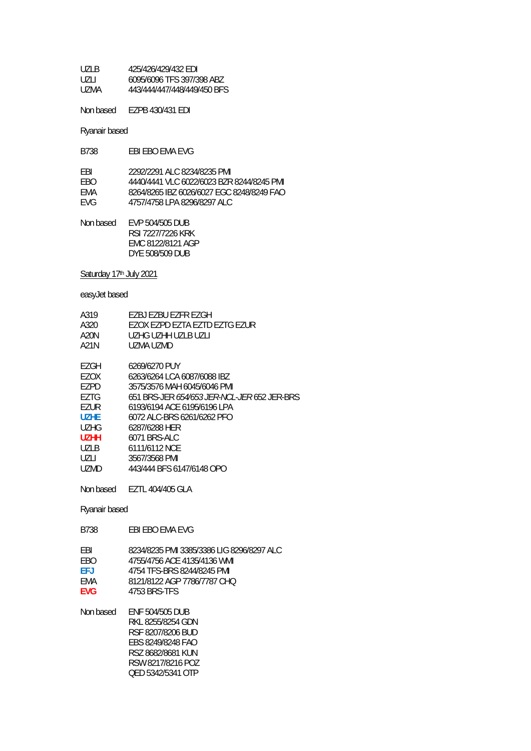| 1171 B | 425/426/429/432 FDI         |
|--------|-----------------------------|
| UZLI   | 6095/6096 TFS 397/398 ABZ   |
| UZMA   | 443/444/447/448/449/450 BFS |

Non based EZPB 430/431 EDI

Ryanair based

| <b>B738</b> | EBI EBO EMA EVG |  |
|-------------|-----------------|--|
|-------------|-----------------|--|

| FRI  | 2292/2291 ALC 8234/8235 PML               |
|------|-------------------------------------------|
| FRO. | 4440/4441 VLC 6022/6023 BZR 8244/8245 PML |
| FMA  | 8264/8265 IBZ 6026/6027 FGC 8248/8249 FAO |
| FVG. | 4757/4758 LPA 8296/8297 ALC               |

Non based EVP 504/505 DUB RSI 7227/7226 KRK EMC 8122/8121 AGP DYE 508/509 DUB

Saturday 17th July 2021

easyJet based

| A319        | F7BJ F7BU F7FR F7GH                                |
|-------------|----------------------------------------------------|
| A320        | FZOX FZPD FZTA FZTD FZTG FZUR                      |
| A20N        | UZHG UZHH UZLB UZLI                                |
| A21N        | UZMA UZMD                                          |
|             |                                                    |
| F7GH        | 6269/6270 PUY                                      |
| EZOX        | 6263/6264 LCA 6087/6088 IBZ                        |
| F7PD        | 3575/3576 MAH 6045/6046 PMI                        |
| F7TG        | 651 BRS-JER <i>654/653 JER-NCL-JER</i> 652 JER-BRS |
| EZUR        | 6193/6194 ACF 6195/6196 LPA                        |
| U7HF        | 6072 ALC-BRS 6261/6262 PFO                         |
| UZHG        | 6287/6288 HFR                                      |
| <b>UZHH</b> | 6071 BRS-ALC                                       |
| U71 B       | 6111/6112 NCF                                      |
| UZLI        | 3567/3568 PMI                                      |
| UZMD.       | 443/444 BFS 6147/6148 OPO                          |
|             |                                                    |

Non based EZTL 404/405 GLA

- B738 EBI EBO EMA EVG
- EBI 8234/8235 PMI 3385/3386 LIG 8296/8297 ALC<br>EBO 4755/4756 ACE 4135/4136 WMI
- EBO 4755/4756 ACE 4135/4136 WMI<br>EFJ 4754 TFS-BRS 8244/8245 PMI **EFJ** 4754 TFS-BRS 8244/8245 PMI
- EMA 8121/8122 AGP 7786/7787 CHQ<br>EVG 4753 BRS-TFS
- **EVG** 4753 BRS-TFS

| Non based | <b>FNF 504/505 DUB</b> |
|-----------|------------------------|
|           | RKI 8255/8254 GDN      |
|           | RSE 8207/8206 BUD      |
|           | EBS 8249/8248 FAO      |
|           | RSZ 8682/8681 KUN      |
|           | RSW 8217/8216 POZ      |
|           | OED 5342/5341 OTP      |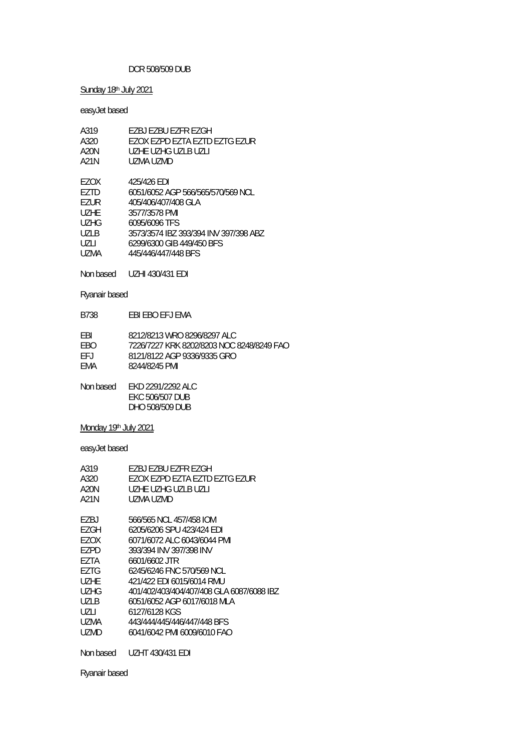### DCR 508/509 DUB

## Sunday 18th July 2021

easyJet based

| A319  | EZBJ EZBU EZFR EZGH                   |
|-------|---------------------------------------|
| A320  | FZOX FZPD FZTA FZTD FZTG FZUR         |
| A20N  | UZHE UZHG UZLB UZLL                   |
| A21N  | UZMA UZMD                             |
|       |                                       |
| EZOX  | 425/426 EDI                           |
| F7TD  | 6051/6052 AGP 566/565/570/569 NCL     |
| F7UR  | 405/406/407/408 GLA                   |
| UZHF  | 3577/3578 PMI                         |
| UZHG  | 6095/6096 TFS                         |
| U71 B | 3573/3574 IBZ 393/394 INV 397/398 ABZ |
| U7LI  | 6299/6300 GIB 449/450 BFS             |
| UZMA  | 445/446/447/448 BFS                   |
|       |                                       |

Non based UZHI 430/431 EDI

Ryanair based

B738 EBI EBO EFJ EMA

| FBI  | 8212/8213 WRO 8296/8297 ALC               |
|------|-------------------------------------------|
| FBO. | 7226/7227 KRK 8202/8203 NOC 8248/8249 FAO |
| FFJ  | 8121/8122 AGP 9336/9335 GRO               |
| FMA  | 8244/8245 PMI                             |

Non based EKD 2291/2292 ALC EKC 506/507 DUB DHO 508/509 DUB

## Monday 19th July 2021

easyJet based

| A319  | F7BJ F7BU F7FR F7GH                       |
|-------|-------------------------------------------|
| A320  | FZOX FZPD FZTA FZTD FZTG FZUR             |
| A20N  | UZHE UZHG UZLB UZLI                       |
| A21N  | UZMA UZMD                                 |
| EZBJ  | 566/565 NCL 457/458 IOM                   |
| EZGH  | 6205/6206 SPU 423/424 EDI                 |
| F7OX  | 6071/6072 ALC 6043/6044 PMI               |
| FZPD  | 393/394 INV 397/398 INV                   |
| F7TA  | 6601/6602 JTR                             |
| F7TG  | 6245/6246 FNC 570/569 NCL                 |
| UZHE  | 421/422 FDI 6015/6014 RMU                 |
| UZHG  | 401/402/403/404/407/408 GLA 6087/6088 IBZ |
| U71 B | 6051/6052 AGP 6017/6018 MLA               |
| UZLI  | 6127/6128 KGS                             |
| UZMA  | 443/444/445/446/447/448 BFS               |
| UZMD  | 6041/6042 PMI 6009/6010 FAO               |
|       |                                           |

Non based UZHT 430/431 EDI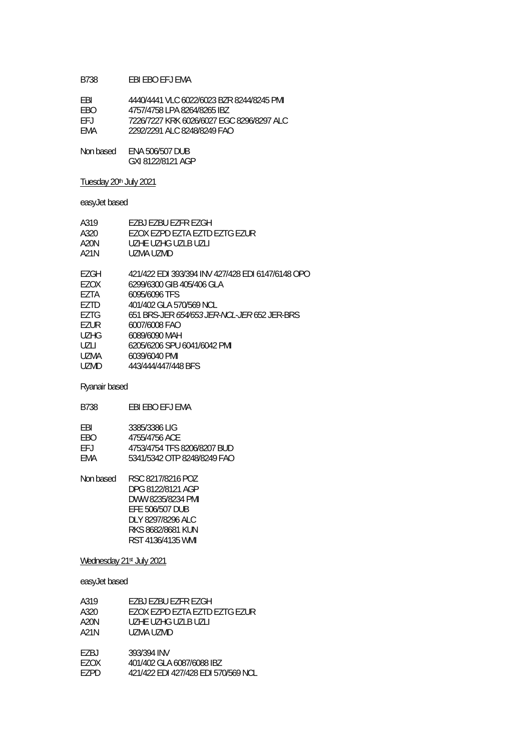### B738 EBI EBO EFJ EMA

| FRI        | 4440/4441 VLC 6022/6023 BZR 8244/8245 PMI |
|------------|-------------------------------------------|
| <b>FBO</b> | 4757/4758 LPA 8264/8265 IBZ               |
| FFJ.       | 7226/7227 KRK 6026/6027 EGC 8296/8297 ALC |
| FMA        | 2292/2291 ALC 8248/8249 FAO               |
|            |                                           |

Non based ENA 506/507 DUB GXI 8122/8121 AGP

## Tuesday 20<sup>th</sup> July 2021

## easyJet based

| A319        | EZBJ EZBU EZFR EZGH                                |
|-------------|----------------------------------------------------|
| A320        | FZOX FZPD FZTA FZTD FZTG FZUR                      |
| A20N        | UZHE UZHG UZLB UZLI                                |
| A21N        | UZMA UZMD                                          |
|             |                                                    |
| F7GH        | 421/422 EDI 393/394 INV 427/428 EDI 6147/6148 OPO  |
| F7OX        | 6299/6300 GIB 405/406 GLA                          |
| EZTA        | 6095/6096 TFS                                      |
| F7TD        | 401/402 GLA 570/569 NCL                            |
| F7TG        | 651 BRS-JER <i>654/653 JER-NCL-JER</i> 652 JER-BRS |
| <b>FZUR</b> | 6007/6008 FAO                                      |
| UZHG        | 6089/6090 MAH                                      |
| UZLI        | 6205/6206 SPU 6041/6042 PMI                        |
| UZMA        | 6039/6040 PMI                                      |
| UZMD        | 443/444/447/448 BFS                                |
|             |                                                    |

## Ryanair based

| 3385/3386 LIG               |
|-----------------------------|
| 4755/4756 ACE               |
| 4753/4754 TFS 8206/8207 BUD |
| 5341/5342 OTP 8248/8249 FAO |
|                             |

Non based RSC 8217/8216 POZ DPG 8122/8121 AGP DWW 8235/8234 PMI EFE 506/507 DUB DLY 8297/8296 ALC RKS 8682/8681 KUN RST 4136/4135 WMI

#### Wednesday 21st July 2021

| A319 | F7BJ F7BU F7FR F7GH                 |
|------|-------------------------------------|
| A320 | EZOX EZPD EZTA EZTD EZTG EZUR       |
| A20N | UZHE UZHG UZLB UZLI                 |
| A21N | UZMA UZMD                           |
|      |                                     |
| F7BJ | 393/394 INV                         |
| F7OX | 401/402 GLA 6087/6088 IBZ           |
| F7PD | 421/422 EDI 427/428 EDI 570/569 NCL |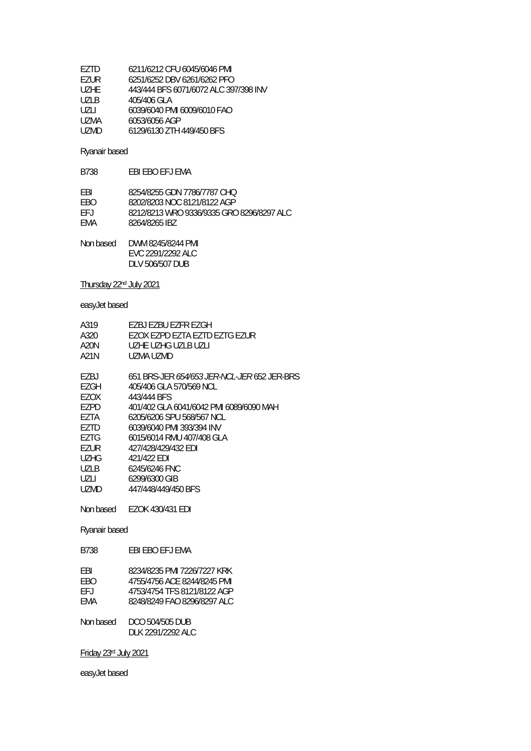| F7TD  | 6211/6212 CFU 6045/6046 PMI           |
|-------|---------------------------------------|
| EZUR  | 6251/6252 DBV 6261/6262 PFO           |
| UZHE. | 443/444 BFS 6071/6072 ALC 397/398 INV |
| U71 B | 405/406 GLA                           |
| UZLI  | 6039/6040 PMI 6009/6010 FAO           |
| UZMA  | 6053/6056 AGP                         |
| UZMD. | 6129/6130 ZTH 449/450 BFS             |
|       |                                       |

| FBI  | 8254/8255 GDN 7786/7787 CHO               |
|------|-------------------------------------------|
| FBO. | 8202/8203 NOC 8121/8122 AGP               |
| FFJ. | 8212/8213 WRO 9336/9335 GRO 8296/8297 ALC |
| FMA  | 8264/8265 IBZ                             |
|      |                                           |

| Non based | DWM 8245/8244 PMI |
|-----------|-------------------|
|           | FVC 2291/2292 ALC |
|           | DLV 506/507 DUB   |

Thursday 22nd July 2021

easyJet based

| A319      | EZBJ EZBU EZFR F7GH                                |
|-----------|----------------------------------------------------|
| A320      | FZOX FZPD FZTA FZTD FZTG FZUR                      |
| A20N      | UZHE UZHG UZLB UZLL                                |
| A21N      | UZMA UZMD                                          |
|           |                                                    |
| F7BJ      | 651 BRS-JER <i>654/653 JER-NCL-JER</i> 652 JER-BRS |
| EZGH      | 405/406 GLA 570/569 NCL                            |
| EZOX      | 443/444 BFS                                        |
| F7PD      | 401/402 GLA 6041/6042 PMI 6089/6090 MAH            |
| F7TA      | 6205/6206 SPU 568/567 NCL                          |
| F7TD      | 6039/6040 PMI 393/394 INV                          |
| FZTG      | 6015/6014 RMU 407/408 GLA                          |
| F7UR      | 427/428/429/432 FDI                                |
| UZHG      | 421/422 FDI                                        |
| UZLB      | 6245/6246 FNC                                      |
| UZLI      | 6299/6300 GIB                                      |
| UZMD.     | 447/448/449/450 BFS                                |
| Non based | <b>EZOK 430/431 EDI</b>                            |
|           |                                                    |

Ryanair based

| FBI. | 8234/8235 PMI 7226/7227 KRK |
|------|-----------------------------|
| FRO. | 4755/4756 ACE 8244/8245 PMI |
| FF L | 4753/4754 TFS 8121/8122 AGP |
| FMA  | 8248/8249 FAO 8296/8297 ALC |

| Non based | DCO 504/505 DUB    |
|-----------|--------------------|
|           | DI K 2291/2292 ALC |

Friday 23rd July 2021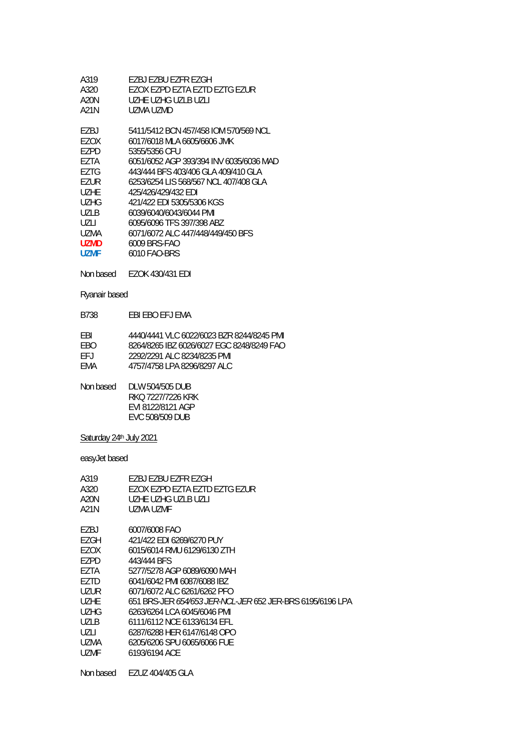| A319        | EZBJ EZBU EZFR EZGH                     |
|-------------|-----------------------------------------|
| A320        | EZOX EZPD EZTA EZTD EZTG EZUR           |
| A20N        | UZHE UZHG UZLB UZLL                     |
| A21N        | UZMA UZMD                               |
|             |                                         |
| F7BJ        | 5411/5412 BCN 457/458 IOM 570/569 NCL   |
| F7OX        | 6017/6018 MLA 6605/6606 JMK             |
| F7PD        | 5355/5356 CFU                           |
| F7TA        | 6051/6052 AGP 393/394 INV 6035/6036 MAD |
| F7TG        | 443/444 BFS 403/406 GLA 409/410 GLA     |
| EZUR        | 6253/6254 LIS 568/567 NCL 407/408 GLA   |
| U7HF        | 425/426/429/432 FDI                     |
| UZHG        | 421/422 EDI 5305/5306 KGS               |
| UZLB        | 6039/6040/6043/6044 PMI                 |
| U7LI        | 6095/6096 TFS 397/398 ABZ               |
| UZMA        | 6071/6072 ALC 447/448/449/450 BFS       |
| <b>UZMD</b> | 6009 BRS-FAO                            |
| UZMF        | 6010 FAO-BRS                            |
|             |                                         |

Non based EZOK 430/431 EDI

Ryanair based

B738 EBI EBO EFJ EMA

| FBI  | 4440/4441 VLC 6022/6023 BZR 8244/8245 PML |
|------|-------------------------------------------|
| FBO. | 8264/8265 IBZ 6026/6027 EGC 8248/8249 FAO |
| FFJ. | 2292/2291 ALC 8234/8235 PML               |
| FMA  | 4757/4758 LPA 8296/8297 ALC               |

Non based DLW 504/505 DUB RKQ 7227/7226 KRK EVI 8122/8121 AGP EVC 508/509 DUB

Saturday 24<sup>th</sup> July 2021

| A319        | EZBJ EZBU EZFR F7GH                                              |
|-------------|------------------------------------------------------------------|
| A320        | EZOX EZPD EZTA EZTD EZTG EZUR                                    |
| A20N        | UZHE UZHG UZLB UZLL                                              |
| A21N        | UZMA UZMF                                                        |
| EZBJ        | 6007/6008 FAO                                                    |
| F7GH        | 421/422 FDI 6269/6270 PUY                                        |
| EZOX        | 6015/6014 RMU 6129/6130 ZTH                                      |
| F7PD        | 443/444 BFS                                                      |
| F7TA        | 5277/5278 AGP 6089/6090 MAH                                      |
| EZTD        | 6041/6042 PMI 6087/6088 IBZ                                      |
| UZUR        | 6071/6072 ALC 6261/6262 PFO                                      |
| <b>UZHE</b> | 651 BRS-JER <i>654/653 JER-NCL-JER</i> 652 JER-BRS 6195/6196 LPA |
| <b>UZHG</b> | 6263/6264 LCA 6045/6046 PMI                                      |
| U71 B       | 6111/6112 NCF 6133/6134 FFL                                      |
| UZLI        | 6287/6288 HER 6147/6148 OPO                                      |
| UZMA        | 6205/6206 SPU 6065/6066 FUE                                      |
| <b>UZMF</b> | 6193/6194 ACE                                                    |
| Non based   | EZUZ 404/405 GLA                                                 |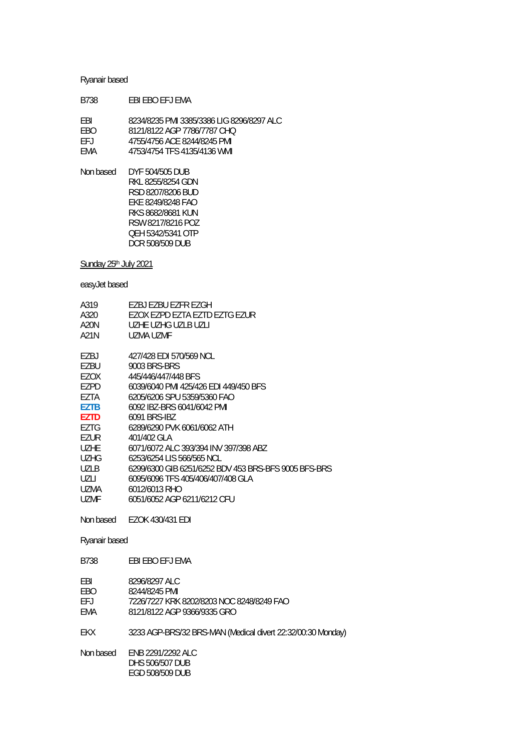| B738                                   | FBI FBO FFJ FMA                                                                                                                        |
|----------------------------------------|----------------------------------------------------------------------------------------------------------------------------------------|
| <b>FBI</b><br><b>FBO</b><br>FFJ<br>FMA | 8234/8235 PMI 3385/3386 LIG 8296/8297 ALC<br>8121/8122 AGP 7786/7787 CHQ<br>4755/4756 ACF 8244/8245 PMI<br>4753/4754 TFS 4135/4136 WML |
|                                        | Non based DYF 504/505 DUB                                                                                                              |

 RKL 8255/8254 GDN RSD 8207/8206 BUD EKE 8249/8248 FAO RKS 8682/8681 KUN RSW 8217/8216 POZ QEH 5342/5341 OTP DCR 508/509 DUB

Sunday 25<sup>th</sup> July 2021

easyJet based

| A319        | F7BJ F7BU F7FR F7GH                                  |
|-------------|------------------------------------------------------|
| A320        | EZOX EZPD EZTA EZTD EZTG EZUR                        |
| A20N        | UZHE UZHG UZLB UZLI                                  |
| A21N        | UZMA UZMF                                            |
| EZBJ        | 427/428 EDI 570/569 NCL                              |
| EZBU        | 9003 BRS-BRS                                         |
| EZOX        | 445/446/447/448 BFS                                  |
| F7PD        | 6039/6040 PMI 425/426 EDI 449/450 BFS                |
| <b>FZTA</b> | 6205/6206 SPU 5359/5360 FAO                          |
| <b>EZTB</b> | 6092 IBZ-BRS 6041/6042 PMI                           |
| <b>EZTD</b> | 6091 BRS-IBZ                                         |
| F7TG        | 6289/6290 PVK 6061/6062 ATH                          |
| EZUR        | 401/402 GLA                                          |
| UZHE        | 6071/6072 ALC 393/394 INV 397/398 ABZ                |
| <b>UZHG</b> | 6253/6254 LIS 566/565 NCL                            |
| U71 B       | 6299/6300 GIB 6251/6252 BDV 453 BRS-BFS 9005 BFS-BRS |
| UZLI        | 6095/6096 TFS 405/406/407/408 GLA                    |
| UZMA        | 6012/6013 RHO                                        |
| <b>UZMF</b> | 6051/6052 AGP 6211/6212 CFU                          |

Non based EZOK 430/431 EDI

Ryanair based

#### B738 EBI EBO EFJ EMA

| FRI | 8296/8297 ALC |
|-----|---------------|
| EBO | 8244/8245 PMI |

EBO 8244/8245 PMI<br>FEJ 7226/7227 KRK

EFJ 7226/7227 KRK 8202/8203 NOC 8248/8249 FAO

EMA 8121/8122 AGP 9366/9335 GRO

EKX 3233 AGP-BRS/32 BRS-MAN (Medical divert 22:32/00:30 Monday)

Non based ENB 2291/2292 ALC DHS 506/507 DUB EGD 508/509 DUB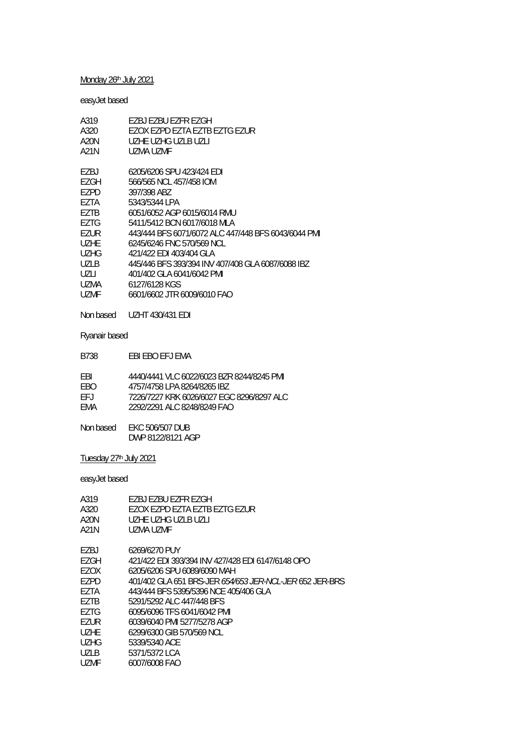# Monday 26<sup>th</sup> July 2021

# easyJet based

| A319        | EZBJ EZBU EZFR EZGH                                 |
|-------------|-----------------------------------------------------|
| A320        | F7OX F7PD F7TA F7TB F7TG F7UR                       |
| A20N        | UZHE UZHG UZLB UZLL                                 |
| A21N        | UZMA UZME                                           |
| F7BJ        | 6205/6206 SPU 423/424 EDI                           |
| F7GH        | 566/565 NCL 457/458 IOM                             |
| EZPD        | 397/398 ABZ                                         |
| F7TA        | 5343/5344 LPA                                       |
| F7TB        | 6051/6052 AGP 6015/6014 RMU                         |
| F7TG        | 5411/5412 BCN 6017/6018 MLA                         |
| F7UR        | 443/444 BFS 6071/6072 ALC 447/448 BFS 6043/6044 PMI |
| UZHE.       | 6245/6246 FNC 570/569 NCL                           |
| <b>UZHG</b> | 421/422 EDI 403/404 GLA                             |
| UZLB        | 445/446 BFS 393/394 INV 407/408 GLA 6087/6088 IBZ   |
| UZLI        | 401/402 GLA 6041/6042 PMI                           |
| UZMA        | 6127/6128 KGS                                       |
| UZMF        | 6601/6602 JTR 6009/6010 FAO                         |
|             |                                                     |

Non based UZHT 430/431 EDI

## Ryanair based

| EBI EBO EFJ EMA<br>B738 |
|-------------------------|
|-------------------------|

| FRI  | 4440/4441 VLC 6022/6023 BZR 8244/8245 PMI |
|------|-------------------------------------------|
| FRO. | 4757/4758 LPA 8264/8265 IBZ               |
| FFJ. | 7226/7227 KRK 6026/6027 EGC 8296/8297 ALC |
| FMA  | 2292/2291 ALC 8248/8249 FAO               |
|      |                                           |

| Non based | <b>EKC 506/507 DUB</b> |
|-----------|------------------------|
|           | DWP 8122/8121 AGP      |

Tuesday 27th July 2021

| A319  | F7BJ F7BU F7FR F7GH                                            |
|-------|----------------------------------------------------------------|
| A320  | FZOX FZPD FZTA FZTB FZTG FZUR                                  |
| A20N  | UZHE UZHG UZLB UZLI                                            |
| A21N  | UZMA UZMF                                                      |
| F7BJ  | 6269/6270 PUY                                                  |
| EZGH  | 421/422 EDI 393/394 INV 427/428 EDI 6147/6148 OPO              |
| EZOX  | 6205/6206 SPU 6089/6090 MAH                                    |
| EZPD  | 401/402 GLA 651 BRS-JER <i>654/653 JER-NCL-JER</i> 652 JER-BRS |
| F7TA  | 443/444 BFS 5395/5396 NCE 405/406 GLA                          |
| F7TB  | 5291/5292 ALC 447/448 BFS                                      |
| F7TG  | 6095/6096 TFS 6041/6042 PMI                                    |
| F7UR  | 6039/6040 PMI 5277/5278 AGP                                    |
| UZHE  | 6299/6300 GIB 570/569 NCL                                      |
| UZHG  | 5339/5340 ACF                                                  |
| U71 B | 5371/5372 LCA                                                  |
| UZMF  | 6007/6008 FAO                                                  |
|       |                                                                |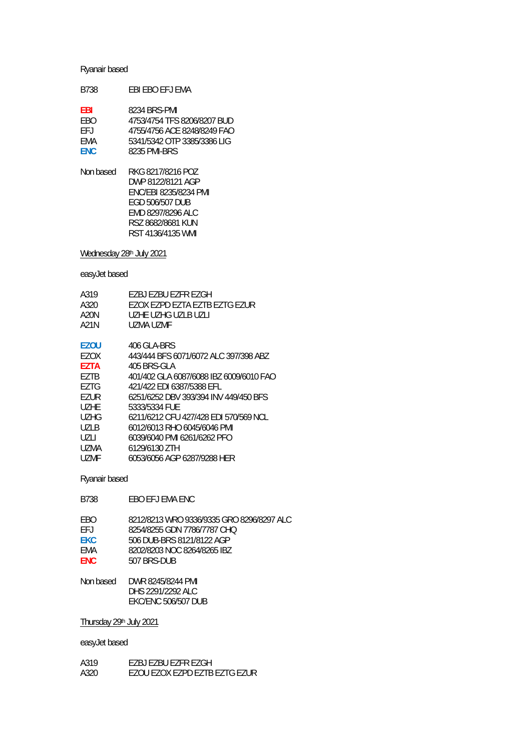| B738                                    | FBI FBO FFJ FMA                                                                                                           |
|-----------------------------------------|---------------------------------------------------------------------------------------------------------------------------|
| EBI<br>FRO<br>FF.I<br>FMA<br><b>FNC</b> | 8234 BRS-PMI<br>4753/4754 TFS 8206/8207 BUD<br>4755/4756 ACE 8248/8249 FAO<br>5341/5342 OTP 3385/3386 LIG<br>8235 PMI-BRS |
| Non based                               | RKG 8217/8216 POZ<br>DWP 8122/8121 AGP                                                                                    |

 ENC/EBI 8235/8234 PMI EGD 506/507 DUB EMD 8297/8296 ALC RSZ 8682/8681 KUN RST 4136/4135 WMI

Wednesday 28<sup>th</sup> July 2021

easyJet based

| F7BJ F7BU F7FR F7GH                     |
|-----------------------------------------|
| EZOX EZPD EZTA EZTB EZTG EZUR           |
| UZHE UZHG UZLB UZLI                     |
| UZMA UZME                               |
|                                         |
| 406 GLA-BRS                             |
| 443/444 BFS 6071/6072 ALC 397/398 ABZ   |
| 405 BRS-GLA                             |
| 401/402 GLA 6087/6088 IBZ 6009/6010 FAO |
| 421/422 FDI 6387/5388 FFI               |
| 6251/6252 DBV 393/394 INV 449/450 BES   |
| 5333/5334 FUF                           |
| 6211/6212 CFU 427/428 EDI 570/569 NCL   |
| 6012/6013 RHO 6045/6046 PMI             |
| 6039/6040 PMI 6261/6262 PEO             |
| 6129/6130 ZTH                           |
| 6053/6056 AGP 6287/9288 HER             |
|                                         |

Ryanair based

| FBO.       | 8212/8213 WRO 9336/9335 GRO 8296/8297 ALC |
|------------|-------------------------------------------|
| FFJ        | 8254/8255 GDN 7786/7787 CHO               |
| <b>EKC</b> | 506 DUB-BRS 8121/8122 AGP                 |
| FMA        | 8202/8203 NOC 8264/8265 IBZ               |
| <b>FNC</b> | 507 BRS-DUB                               |
|            |                                           |
| Non hasod  | NMD QJ4E/QJ4A DMI                         |

| DWR 8245/8244 PMI          |
|----------------------------|
| DHS 2291/2292 ALC          |
| <b>EKC/ENC 506/507 DUB</b> |
|                            |

B738 EBO EFJ EMA ENC

Thursday 29th July 2021

| A319 | F7BJ F7BU F7FR F7GH           |
|------|-------------------------------|
| A320 | EZOU EZOX EZPD EZTB EZTG EZUR |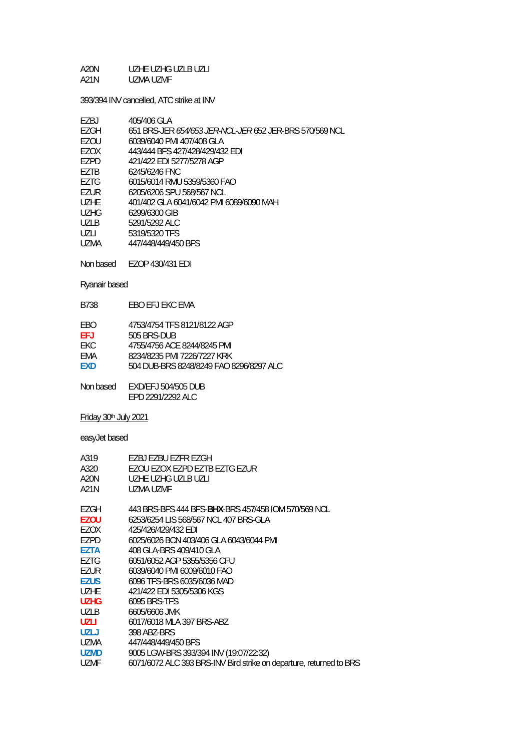#### A20N UZHE UZHG UZLB UZLI A21N UZMA UZMF

393/394 INV cancelled, ATC strike at INV

| F7BJ              | 405/406 GLA                                                    |
|-------------------|----------------------------------------------------------------|
| F7GH              | 651 BRS-JER <i>654/653 JER-NCL-JER</i> 652 JER-BRS 570/569 NCL |
| EZOU              | 6039/6040 PMI 407/408 GLA                                      |
| F7OX              | 443/444 BFS 427/428/429/432 EDI                                |
| F7PD              | 421/422 EDI 5277/5278 AGP                                      |
| F7TB              | 6245/6246 FNC                                                  |
| F7TG              | 6015/6014 RMU 5359/5360 FAO                                    |
| F7UR              | 6205/6206 SPU 568/567 NCL                                      |
| U <sub>7</sub> HF | 401/402 GLA 6041/6042 PMI 6089/6090 MAH                        |
| UZHG              | 6299/6300 GIB                                                  |
| U71 B             | 5291/5292 ALC                                                  |
| UZLI              | 5319/5320 TFS                                                  |
| UZMA              | 447/448/449/450 BFS                                            |
|                   |                                                                |

Non based EZOP 430/431 EDI

Ryanair based

| B738 | EBO EFJ EKC EMA |
|------|-----------------|
|      |                 |

| EBO | 4753/4754 TFS 8121/8122 AGP |
|-----|-----------------------------|
|     |                             |

**EFJ** 505 BRS-DUB

- EKC 4755/4756 ACE 8244/8245 PMI<br>EMA 8234/8235 PMI 7226/7227 KRK
- EMA 8234/8235 PMI 7226/7227 KRK<br>EXD 504 DUB-BRS 8248/8249 FAO 8
- **EXD** 504 DUB-BRS 8248/8249 FAO 8296/8297 ALC

Non based EXD/EFJ 504/505 DUB EPD 2291/2292 ALC

Friday 30th July 2021

| A319<br>A320<br>A20N<br>A21N | EZBJ EZBU EZFR EZGH<br>EZOU EZOX EZPD EZTB EZTG EZUR<br>UZHE UZHG UZLB UZLI<br>UZMA UZME |
|------------------------------|------------------------------------------------------------------------------------------|
| EZGH                         | 443 BRS-BFS 444 BFS-BHX-BRS 457/458 IOM 570/569 NCL                                      |
| <b>EZOU</b>                  | 6253/6254 LIS 568/567 NCL 407 BRS-GLA                                                    |
| EZOX                         | 425/426/429/432 EDI                                                                      |
| EZPD                         | 6025/6026 BCN 403/406 GLA 6043/6044 PMI                                                  |
| <b>F7TA</b>                  | 408 GLA-BRS 409/410 GLA                                                                  |
| EZTG                         | 6051/6052 AGP 5355/5356 CFU                                                              |
| EZUR                         | 6039/6040 PMI 6009/6010 FAO                                                              |
| <b>EZUS</b>                  | 6096 TFS-BRS 6035/6036 MAD                                                               |
| <b>UZHE</b>                  | 421/422 EDI 5305/5306 KGS                                                                |
| <b>UZHG</b>                  | 6095 BRS-TFS                                                                             |
| UZLB.                        | 6605/6606 JMK                                                                            |
| <b>UZLI</b>                  | 6017/6018 MLA 397 BRS-ABZ                                                                |
| <b>UZLJ</b>                  | 398 ABZ-BRS                                                                              |
| UZMA                         | 447/448/449/450 BFS                                                                      |
| <b>UZMD</b>                  | 9005 LGW-BRS 393/394 INV (19:07/22:32)                                                   |
| <b>UZMF</b>                  | 6071/6072 ALC 393 BRS-INV Bird strike on departure, returned to BRS                      |
|                              |                                                                                          |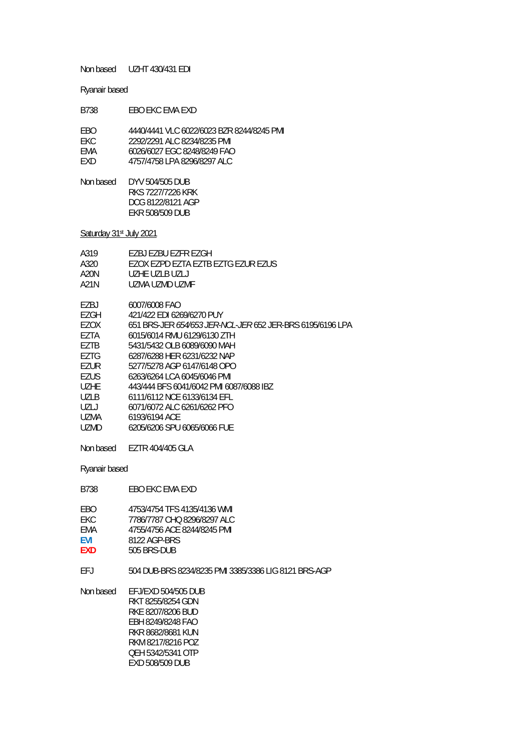Non based UZHT 430/431 EDI

Ryanair based

| B738 | FBO FKC FMA FXD                           |
|------|-------------------------------------------|
| FBO. | 4440/4441 VLC 6022/6023 BZR 8244/8245 PML |
| FKC. | 2292/2291 ALC 8234/8235 PMI               |
| FMA  | 6026/6027 EGC 8248/8249 FAO               |
| FXD. | 4757/4758 LPA 8296/8297 ALC               |

| Non based | DYV 504/505 DUB<br>RKS 7227/7226 KRK        |
|-----------|---------------------------------------------|
|           | DCG 8122/8121 AGP<br><b>FKR 508/509 DUB</b> |

Saturday 31st July 2021

| A319  | EZBJ EZBU EZFR EZGH                                              |
|-------|------------------------------------------------------------------|
| A320. | EZOX EZPD EZTA EZTB EZTG EZUR EZUS                               |
| A20N  | UZHE UZLB UZLJ                                                   |
| A21N  | UZMA UZMD UZMF                                                   |
| EZBJ  | 6007/6008 FAO                                                    |
| EZGH  | 421/422 FDI 6269/6270 PUY                                        |
| EZOX  | 651 BRS-JER <i>654/653 JER-NCL-JER</i> 652 JER-BRS 6195/6196 LPA |
| EZTA  | 6015/6014 RMU 6129/6130 ZTH                                      |
| F7TB  | 5431/5432 OLB 6089/6090 MAH                                      |
| EZTG  | 6287/6288 HER 6231/6232 NAP                                      |
| EZUR  | 5277/5278 AGP 6147/6148 OPO                                      |
| EZUS. | 6263/6264 LCA 6045/6046 PMI                                      |
| UZHF. | 443/444 BFS 6041/6042 PMI 6087/6088 IBZ                          |
| UZLB  | 6111/6112 NCE 6133/6134 EFL                                      |
| UZLJ  | 6071/6072 ALC 6261/6262 PFO                                      |
| UZMA  | 6193/6194 ACE                                                    |
| UZMD  | 6205/6206 SPU 6065/6066 FUE                                      |
|       | Non based EZTR 404/405 GLA                                       |
|       |                                                                  |

Ryanair based

| FBO        | 4753/4754 TFS 4135/4136 WMI |
|------------|-----------------------------|
| FKC.       | 7786/7787 CHO 8296/8297 ALC |
| FMA        | 4755/4756 ACF 8244/8245 PMI |
| <b>FVI</b> | 8122 AGP-BRS                |
| <b>FXD</b> | 505 BRS-DUB                 |

B738 EBO EKC EMA EXD

EFJ 504 DUB-BRS 8234/8235 PMI 3385/3386 LIG 8121 BRS-AGP

Non based EFJ/EXD 504/505 DUB RKT 8255/8254 GDN RKE 8207/8206 BUD EBH 8249/8248 FAO RKR 8682/8681 KUN RKM 8217/8216 POZ QEH 5342/5341 OTP EXD 508/509 DUB